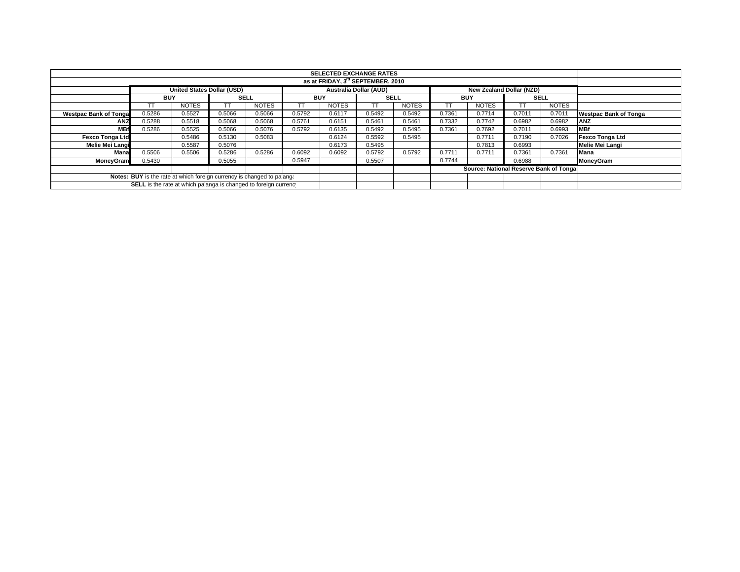|                              | <b>SELECTED EXCHANGE RATES</b>                                                                 |              |             |              |            |              |             |              |            |                                        |             |              |                              |
|------------------------------|------------------------------------------------------------------------------------------------|--------------|-------------|--------------|------------|--------------|-------------|--------------|------------|----------------------------------------|-------------|--------------|------------------------------|
|                              |                                                                                                |              |             |              |            |              |             |              |            |                                        |             |              |                              |
|                              | <b>United States Dollar (USD)</b><br><b>Australia Dollar (AUD)</b><br>New Zealand Dollar (NZD) |              |             |              |            |              |             |              |            |                                        |             |              |                              |
|                              | <b>BUY</b>                                                                                     |              | <b>SELL</b> |              | <b>BUY</b> |              | <b>SELL</b> |              | <b>BUY</b> |                                        | <b>SELL</b> |              |                              |
|                              |                                                                                                | <b>NOTES</b> |             | <b>NOTES</b> | TT         | <b>NOTES</b> | TT          | <b>NOTES</b> |            | <b>NOTES</b>                           |             | <b>NOTES</b> |                              |
| <b>Westpac Bank of Tonga</b> | 0.5286                                                                                         | 0.5527       | 0.5066      | 0.5066       | 0.5792     | 0.6117       | 0.5492      | 0.5492       | 0.7361     | 0.7714                                 | 0.7011      | 0.7011       | <b>Westpac Bank of Tonga</b> |
| ANZ                          | 0.5288                                                                                         | 0.5518       | 0.5068      | 0.5068       | 0.5761     | 0.6151       | 0.5461      | 0.5461       | 0.7332     | 0.7742                                 | 0.6982      | 0.6982       | <b>ANZ</b>                   |
| <b>MBf</b>                   | 0.5286                                                                                         | 0.5525       | 0.5066      | 0.5076       | 0.5792     | 0.6135       | 0.5492      | 0.5495       | 0.7361     | 0.7692                                 | 0.7011      | 0.6993       | <b>MBf</b>                   |
| <b>Fexco Tonga Ltd</b>       |                                                                                                | 0.5486       | 0.5130      | 0.5083       |            | 0.6124       | 0.5592      | 0.5495       |            | 0.7711                                 | 0.7190      | 0.7026       | Fexco Tonga Ltd              |
| Melie Mei Langi              |                                                                                                | 0.5587       | 0.5076      |              |            | 0.6173       | 0.5495      |              |            | 0.7813                                 | 0.6993      |              | Melie Mei Langi              |
| Mana                         | 0.5506                                                                                         | 0.5506       | 0.5286      | 0.5286       | 0.6092     | 0.6092       | 0.5792      | 0.5792       | 0.7711     | 0.7711                                 | 0.7361      | 0.7361       | <b>Mana</b>                  |
| MoneyGram                    | 0.5430                                                                                         |              | 0.5055      |              | 0.5947     |              | 0.5507      |              | 0.7744     |                                        | 0.6988      |              | MoneyGram                    |
|                              |                                                                                                |              |             |              |            |              |             |              |            | Source: National Reserve Bank of Tonga |             |              |                              |
|                              | Notes: BUY is the rate at which foreign currency is changed to pa'ang.                         |              |             |              |            |              |             |              |            |                                        |             |              |                              |
|                              | SELL is the rate at which pa'anga is changed to foreign currency                               |              |             |              |            |              |             |              |            |                                        |             |              |                              |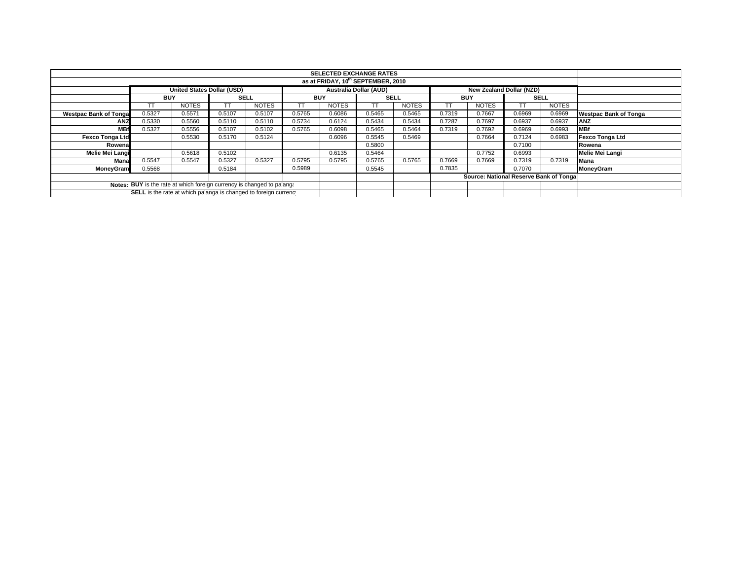|                               |                                                                        |                                   |             |              |            | <b>SELECTED EXCHANGE RATES</b> |             |              |            |                                        |             |              |                              |
|-------------------------------|------------------------------------------------------------------------|-----------------------------------|-------------|--------------|------------|--------------------------------|-------------|--------------|------------|----------------------------------------|-------------|--------------|------------------------------|
|                               |                                                                        |                                   |             |              |            |                                |             |              |            |                                        |             |              |                              |
|                               |                                                                        | <b>United States Dollar (USD)</b> |             |              |            | <b>Australia Dollar (AUD)</b>  |             |              |            | New Zealand Dollar (NZD)               |             |              |                              |
|                               | <b>BUY</b>                                                             |                                   | <b>SELL</b> |              | <b>BUY</b> |                                | <b>SELL</b> |              | <b>BUY</b> |                                        | <b>SELL</b> |              |                              |
|                               | TΤ                                                                     | <b>NOTES</b>                      | TT.         | <b>NOTES</b> | TT         | <b>NOTES</b>                   | TT.         | <b>NOTES</b> |            | <b>NOTES</b>                           |             | <b>NOTES</b> |                              |
| <b>Westpac Bank of Tongal</b> | 0.5327                                                                 | 0.5571                            | 0.5107      | 0.5107       | 0.5765     | 0.6086                         | 0.5465      | 0.5465       | 0.7319     | 0.7667                                 | 0.6969      | 0.6969       | <b>Westpac Bank of Tonga</b> |
| <b>ANZ</b>                    | 0.5330                                                                 | 0.5560                            | 0.5110      | 0.5110       | 0.5734     | 0.6124                         | 0.5434      | 0.5434       | 0.7287     | 0.7697                                 | 0.6937      | 0.6937       | <b>ANZ</b>                   |
| <b>MBf</b>                    | 0.5327                                                                 | 0.5556                            | 0.5107      | 0.5102       | 0.5765     | 0.6098                         | 0.5465      | 0.5464       | 0.7319     | 0.7692                                 | 0.6969      | 0.6993       | <b>MBf</b>                   |
| <b>Fexco Tonga Ltd</b>        |                                                                        | 0.5530                            | 0.5170      | 0.5124       |            | 0.6096                         | 0.5545      | 0.5469       |            | 0.7664                                 | 0.7124      | 0.6983       | Fexco Tonga Ltd              |
| Rowenal                       |                                                                        |                                   |             |              |            |                                | 0.5800      |              |            |                                        | 0.7100      |              | Rowena                       |
| Melie Mei Langi               |                                                                        | 0.5618                            | 0.5102      |              |            | 0.6135                         | 0.5464      |              |            | 0.7752                                 | 0.6993      |              | Melie Mei Langi              |
| Mana                          | 0.5547                                                                 | 0.5547                            | 0.5327      | 0.5327       | 0.5795     | 0.5795                         | 0.5765      | 0.5765       | 0.7669     | 0.7669                                 | 0.7319      | 0.7319       | <b>Mana</b>                  |
| <b>MoneyGram</b>              | 0.5568                                                                 |                                   | 0.5184      |              | 0.5989     |                                | 0.5545      |              | 0.7835     |                                        | 0.7070      |              | MoneyGram                    |
|                               |                                                                        |                                   |             |              |            |                                |             |              |            | Source: National Reserve Bank of Tonga |             |              |                              |
|                               | Notes: BUY is the rate at which foreign currency is changed to pa'ang: |                                   |             |              |            |                                |             |              |            |                                        |             |              |                              |
|                               | SELL is the rate at which pa'anga is changed to foreign currency       |                                   |             |              |            |                                |             |              |            |                                        |             |              |                              |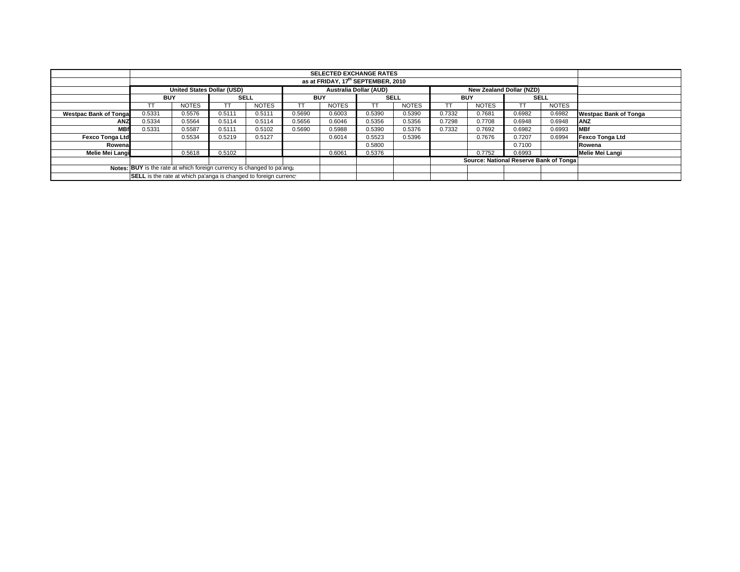|                              |                                                                                                |              |        |              |            | <b>SELECTED EXCHANGE RATES</b><br>as at FRIDAY, 17th SEPTEMBER, 2010 |        |              |            |                                        |        |        |                              |
|------------------------------|------------------------------------------------------------------------------------------------|--------------|--------|--------------|------------|----------------------------------------------------------------------|--------|--------------|------------|----------------------------------------|--------|--------|------------------------------|
|                              |                                                                                                |              |        |              |            |                                                                      |        |              |            |                                        |        |        |                              |
|                              | <b>United States Dollar (USD)</b><br><b>Australia Dollar (AUD)</b><br>New Zealand Dollar (NZD) |              |        |              |            |                                                                      |        |              |            |                                        |        |        |                              |
|                              | <b>SELL</b><br><b>BUY</b>                                                                      |              |        |              | <b>BUY</b> |                                                                      | SELL   |              | <b>BUY</b> |                                        | SELL   |        |                              |
|                              |                                                                                                | <b>NOTES</b> |        | <b>NOTES</b> | TT         | <b>NOTES</b>                                                         | TT     | <b>NOTES</b> |            | <b>NOTES</b>                           |        | NOTES  |                              |
| <b>Westpac Bank of Tonga</b> | 0.5331                                                                                         | 0.5576       | 0.5111 | 0.5111       | 0.5690     | 0.6003                                                               | 0.5390 | 0.5390       | 0.7332     | 0.7681                                 | 0.6982 | 0.6982 | <b>Westpac Bank of Tonga</b> |
| <b>ANZ</b>                   | 0.5334                                                                                         | 0.5564       | 0.5114 | 0.5114       | 0.5656     | 0.6046                                                               | 0.5356 | 0.5356       | 0.7298     | 0.7708                                 | 0.6948 | 0.6948 | <b>JANZ</b>                  |
| <b>MBf</b>                   | 0.5331                                                                                         | 0.5587       | 0.5111 | 0.5102       | 0.5690     | 0.5988                                                               | 0.5390 | 0.5376       | 0.7332     | 0.7692                                 | 0.6982 | 0.6993 | <b>MBf</b>                   |
| <b>Fexco Tonga Ltd</b>       |                                                                                                | 0.5534       | 0.5219 | 0.5127       |            | 0.6014                                                               | 0.5523 | 0.5396       |            | 0.7676                                 | 0.7207 | 0.6994 | Fexco Tonga Ltd              |
| Rowena                       |                                                                                                |              |        |              |            |                                                                      | 0.5800 |              |            |                                        | 0.7100 |        | Rowena                       |
| Melie Mei Langi              |                                                                                                | 0.5618       | 0.5102 |              |            | 0.6061                                                               | 0.5376 |              |            | 0.7752                                 | 0.6993 |        | Melie Mei Langi              |
|                              |                                                                                                |              |        |              |            |                                                                      |        |              |            | Source: National Reserve Bank of Tonga |        |        |                              |
|                              | Notes: BUY is the rate at which foreign currency is changed to pa'ang:                         |              |        |              |            |                                                                      |        |              |            |                                        |        |        |                              |
|                              | SELL is the rate at which pa'anga is changed to foreign currency                               |              |        |              |            |                                                                      |        |              |            |                                        |        |        |                              |